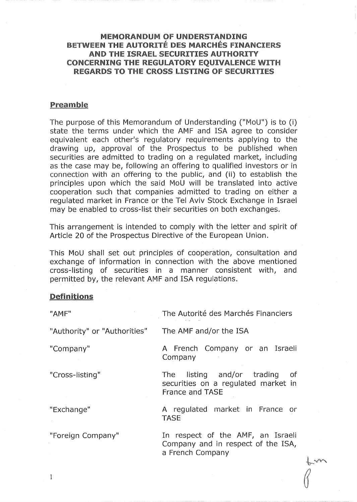## MEMORANDUM Of UNDERSTANDING BETWEEN THE AUTORITÉ DES MARCHÉS FINANCIERS AND THE ISRAEL SECURITIES AUTHORITY CONCERNING THE REGULATORY EQUIVALENCE WITH REGARDSTO THE CROSS LISTING Of SECURITIES

## Preamble

The purpose of this Memorandum of Understanding ("MoU") is to (i) state the terms under which the AMF and ISA agree to consider equivalent each other's regulatory requirements applying to the drawing up, approval of the Prospectus to be published when securities are admitted to trading on a regulated market, including as the case may be, following an offering to qualified investors or in connection with an offering to the public, and (ii) to establish the principles upon which the said MoU will be translated into active cooperation such that companies admitted to trading on either a regulated market in France or the Tel Aviv Stock Exchange in Israel may be enabled to cross-list their securities on both exchanges.

This arrangement is intended to comply with the letter and spirit of Article 20 of the Prospectus Directive of the European Union.

This MoU shall set out principles of cooperation, consultation and exchange of information in connection with the above mentioned cross-listing of securities in a manner consistent with, and permitted by, the relevant AMF and ISA regulations.

## Definitions

| "AMF"                        | The Autorité des Marchés Financiers                                                          |  |  |
|------------------------------|----------------------------------------------------------------------------------------------|--|--|
| "Authority" or "Authorities" | The AMF and/or the ISA                                                                       |  |  |
| "Company"                    | A French Company or an Israeli<br>Company                                                    |  |  |
| "Cross-listing"              | The listing and/or trading<br>- of<br>securities on a regulated market in<br>France and TASE |  |  |
| "Exchange"                   | A regulated market in France or<br><b>TASE</b>                                               |  |  |
| "Foreign Company"            | In respect of the AMF, an Israeli<br>Company and in respect of the ISA,<br>a French Company  |  |  |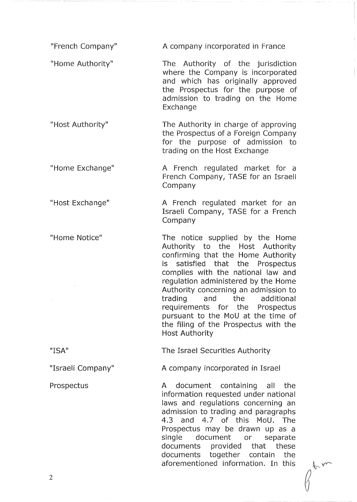"French Company" A company incorporated in France

"Home Authority" The Authority of the jurisdiction where the Company is incorporated and which has originally approved the Prospectus for the purpose of admission to trading on the Home Exchange

"Host Authority" The Authority in charge of approving the Prospectus of a Foreign Company for the purpose of admission to trading on the Host Exchange

"Home Exchange" A French regulated market for a French Company, TASE for an Israeli Company

"Host Exchange" A French regulated market for an Israeli Company, TASE for a French Company

"Home Notice" The notice supplied by the Home Authority to the Host Authority confirming that the Home Authority is satisfied that the Prospectus complies with the national law and regulation administered by the Home Authority concerning an admission to trading and the additional requirements for the Prospectus pursuant to the MoU at the time of the filing of the Prospectus with the Host Authority

"ISA" The Israel Securities Authority

"Israeli Company" A company incorporated in Israel

Prospectus **A** document containing all the information requested under national laws and regulations concerning an admission to trading and paragraphs 4.3 and 4.7 of this MoU. The Prospectus may be drawn up as a single document or separate documents provided that these documents together contain the aforementioned information. In this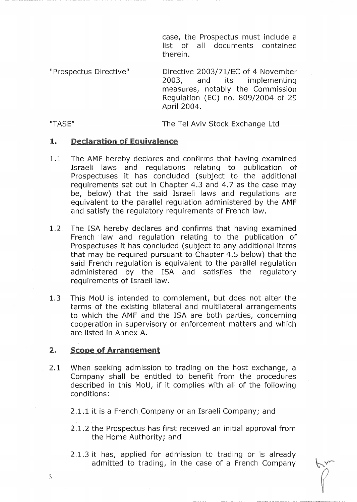case, the Prospectus must include a list of all documents contained therein.

"Prospectus Directive" Directive 2003/71/EC of 4 November 2003, and its implementing measures, notably the Commission Regulation (EC) no. 809/2004 of 29 April 2004.

"TASE" The Tel Aviv Stock Exchange Ltd

## 1. Declaration of Equivalence

- 1.1 The AMF hereby declares and confirms that having examined Israeli laws and regulations relating to publication of Prospectuses it has concluded (subject to the additional requirements set out in Chapter 4.3 and 4.7 as the case may be, below) that the said Israeli laws and regulations are equivalent to the parallel regulation administered by the AMF and satisfy the regulatory requirements of French law.
- 1.2 The ISA hereby declares and confirms that having examined French law and regulation relating to the publication of Prospectuses it has concluded (subject to any additional items that may be required pursuant to Chapter 4.5 below) that the said French regulation is equivalent to the parallel regulation administered by the ISA and satisfies the regulatory requirements of Israeli law.
- 1.3 This MoU is intended to complement, but does not alter the terms of the existing bilateral and multilateral arrangements to which the AMF and the ISA are both parties, concerning cooperation in supervisory or enforcement matters and which are listed in Annex A.

#### $2.$ Scope of Arrangement

2.1 When seeking admission to trading on the host exchange, a Company shall be entitled to benefit from the procedures described in this MoU, if it complies with all of the following conditions:

2.1.1 it is a French Company or an Israeli Company; and

- 2.1.2 the Prospectus has first received an initial approval from the Home Authority; and
- 2.1.3 it has, applied for admission to trading or is already admitted to trading, in the case of a French Company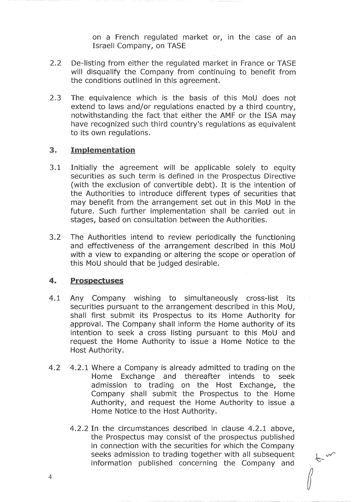on a French regulated market or, in the case of an Israeli Company, on TASE

- 2.2 De-listing from either the regulated market in France or TASE will disqualify the Company from continuing to benefit from the conditions outlined in this agreement.
- 2.3 The equivalence which is the basis of this MoU does not extend to laws and/or regulations enacted by a third country, notwithstanding the fact that either the AMF or the ISA may have recognized such third country's regulations as equivalent to its own regulations.

#### 3. **Implementation**

- 3.1 Initially the agreement will be applicable solely to equity securities as such term is defined in the Prospectus Directive (with the exclusion of convertible debt). It is the intention of the Authorities to introduce different types of securities that may benefit from the arrangement set out in this MoU in the future. Such further implementation shall be carried out in stages, based on consultation between the Authorities.
- 3.2 The Authorities intend to review periodically the functioning and effectiveness of the arrangement described in this MoU with a view to expanding or altering the scope or operation of this MoU should that be judged desirable.

### 4. Prospectuses

- 4.1 Any Company wishing to simultaneously cross-list its securities pursuant to the arrangement described in this MoU, shall first submit its Prospectus to its Home Authority for approval. The Company shall inform the Home authority of its intention to seek a cross listing pursuant to this MoU and request the Home Authority to issue a Home Notice to the Host Authority.
- 4.2 4.2.1 Where a Company is already admitted to trading on the Home Exchange and thereafter intends to seek admission to trading on the Host Exchange, the Company shall submit the Prospectus to the Home Authority, and request the Home Authority to issue a Home Notice to the Host Authority.
	- 4.2.2 In the circumstances described in clause 4.2.1 above, the Prospectus may consist of the prospectus published in connection with the securities for which the Company seeks admission to trading together with all subsequent information published concerning the Company and

t v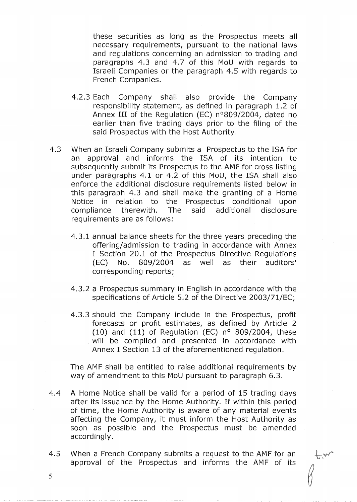these securities as long as the Prospectus meets all necessary requirements, pursuant to the national laws and regulations concerning an admission to trading and paragraphs 4.3 and 4.7 of this MoU with regards to Israeli Companies or the paragraph 4.5 with regards to French Companies.

- 4.2.3 Each Company shall also provide the Company responsibility statement, as defined in paragraph 1.2 of Annex III of the Regulation (EC)  $n^{\circ}809/2004$ , dated no earlier than five trading days prior to the filing of the said Prospectus with the Host Authority.
- 4.3 When an Israeli Company submits a Prospectus to the ISA for an approval and informs the ISA of its intention to subsequently submit its Prospectus to the AMF for cross listing under paragraphs 4.1 or 4.2 of this MoU, the ISA shall also enforce the additional disclosure requirements listed below in this paragraph 4.3 and shall make the granting of a Home Notice in relation to the Prospectus conditional upon compliance therewith. The said additional disclosure requirements are as follows:
	- 4.3.1 annual balance sheets for the three years preceding the offering/admission to trading in accordance with Annex I Section 20.1 of the Prospectus Directive Regulations CEC) No. 809/2004 as well as their auditors' corresponding reports;
	- 4,3.2 a Prospectus summary in English in accordance with the specifications of Article 5.2 of the Directive 2003/71/EC;
	- 4.3.3 should the Company include in the Prospectus, profit forecasts or profit estimates, as defined by Article 2 (10) and (11) of Regulation (EC)  $n^{\circ}$  809/2004, these will be compiled and presented in accordance with Annex I Section 13 of the aforementioned regulation.

The AMF shall be entitled to raise additional requirements by way of amendment to this MoU pursuant to paragraph 6.3.

- 4.4 A Home Notice shall be valid for a period of 15 trading days after its issuance by the Home Authority. If within this period of time, the Home Authority is aware of any material events affecting the Company, it must inform the Host Authority as soon as possible and the Prospectus must be amended accordingly.
- 4.5 When a French Company submits a request to the AMF for an approval of the Prospectus and informs the AMF of its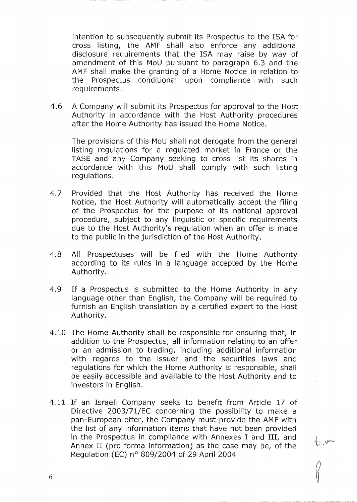intention to subsequently submit its Prospectus to the ISA for cross listing, the AMF shall also enforce any additional disclosure requirements that the ISA may raise by way of amendment of this MoU pursuant to paragraph 6.3 and the AMF shall make the granting of a Home Notice in relation to the Prospectus conditional upon compliance with such requirements.

4.6 A Company will submit its Prospectus for approval to the Host Authority in accordance with the Host Authority procedures after the Home Authority has issued the Home Notice.

The provisions of this MoU shall not derogate from the general listing regulations for a regulated market in France or the TASE and any Company seeking to cross list its shares in accordance with this MoU shall comply with such listing regulations.

- 4.7 Provided that the Host Authority has received the Home Notice, the Host Authority will automatically accept the filing of the Prospectus for the purpose of its national approval procedure, subject to any linguistic or specific requirements due to the Host Authority's regulation when an offer is made to the public in the jurisdiction of the Host Authority.
- 4.8 All Prospectuses will be filed with the Home Authority according to its rules in a language accepted by the Home Authority.
- 4.9 If a Prospectus is submitted to the Home Authority in any language other than English, the Company will be required to furnish an English translation by a certified expert to the Host Authority.
- 4.10 The Home Authority shall be responsible for ensuring that, in addition to the Prospectus, all information relating to an offer or an admission to trading, including additional information with regards to the issuer and the securities laws and regulations for which the Home Authority is responsible, shall be easily accessible and available to the Host Authority and to investors in English.
- 4.11 If an Israeli Company seeks to benefit from Article 17 of Directive 2003/71/EC concerning the possibility to make a pan-European offer, the Company must provide the AMF with the list of any information items that have not been provided in the Prospectus in compliance with Annexes I and III, and Annex II (pro forma information) as the case may be, of the Regulation (EC) n° 809/2004 of 29 April 2004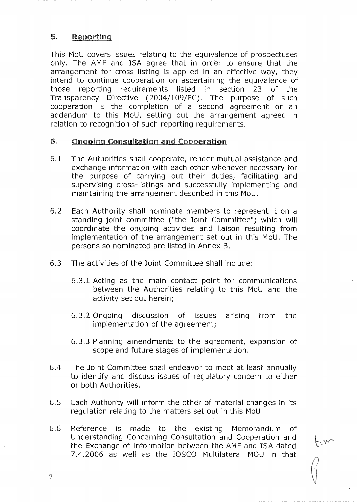### 5. Reporting

This MoU covers issues relating to the equivalence of prospectuses only. The AMF and ISA agree that in order to ensure that the arrangement for cross listing is applied in an effective way, they intend to continue cooperation on ascertaining the equivalence of those reporting requirements listed in section 23 of the Transparency Directive (2004/109/EC). The purpose of such cooperation is the completion of a second agreement or an addendum to this MoU, setting out the arrangement agreed in relation to recognition of such reporting requirements.

## 6. Ongoing Consultation and Cooperation

- 6.1 The Authorities shall cooperate, render mutual assistance and exchange information with each other whenever necessary for the purpose of carrying out their duties, facilitating and supervising cross-listings and successfully implementing and maintaining the arrangement described in this MoU.
- 6.2 Each Authority shall nominate members to represent it on a standing joint committee ("the Joint Committee") which will coordinate the ongoing activities and liaison resulting from implementation of the arrangement set out in this MoU. The persons so nominated are listed in Annex B.
- 6.3 The activities of the Joint Committee shall include:
	- 6.3.1 Acting as the main contact point for communications between the Authorities relating to this MoU and the activity set out herein;
	- 6.3.2 Ongoing discussion of issues arising from the implementation of the agreement;
	- 6.3.3 Planning amendments to the agreement, expansion of scope and future stages of implementation.
- 6.4 The Joint Committee shall endeavor to meet at least annually to identify and discuss issues of regulatory concern to either or both Authorities.
- 6.5 Each Authority will inform the other of material changes in its regulation relating to the matters set out in this MoU.
- 6.6 Reference is made to the existing Memorandum of Understanding Concerning Consultation and Cooperation and the Exchange of Information between the AMF and ISA dated 7.4.2006 as well as the IOSCO Multilateral MOU in that

 $f_{\mathbf{w}}$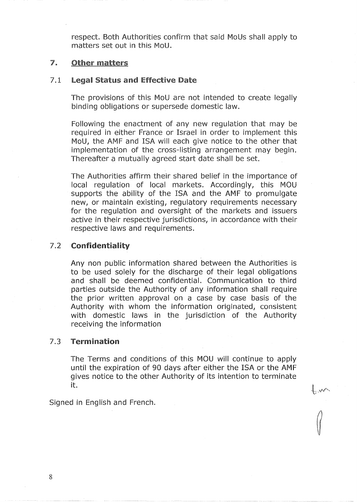respect. Both Authorities confirm that said MoUs shall apply to matters set out in this MoU.

#### $\mathbb{Z}$ **Other matters**

## 7,1 legal Status and Effective Date

The provisions of this MoU are not intended to create legally binding obligations or supersede domestic law.

Following the enactment of any new regulation that may be required in either France or Israel in order to implement this MoU, the AMF and ISA will each give notice to the other that implementation of the cross-listing arrangement may begin. Thereafter a mutually agreed start date shall be set.

The Authorities affirm their shared belief in the importance of local regulation of local markets. Accordingly, this MOU supports the ability of the ISA and the AMF to promulgate new, or maintain existing, regulatory requirements necessary for the regulation and oversight of the markets and issuers active in their respective jurisdictions, in accordance with their respective laws and requirements.

## 7.2 Confidentiality

Any non public information shared between the Authorities is to be used solely for the discharge of their legal obligations and shall be deemed confidential. Communication to third parties outside the Authority of any information shall require the prior written approval on a case by case basis of the Authority with whom the information originated, consistent with domestic laws in the jurisdiction of the Authority receiving the information

## 7.3 Termination

The Terms and conditions of this MOU will continue to apply until the expiration of 90 days after either the ISA or the AMF gives notice to the other Authority of its intention to terminate it.

 $\int \frac{1}{\sqrt{2}}$ 

Signed in English and French.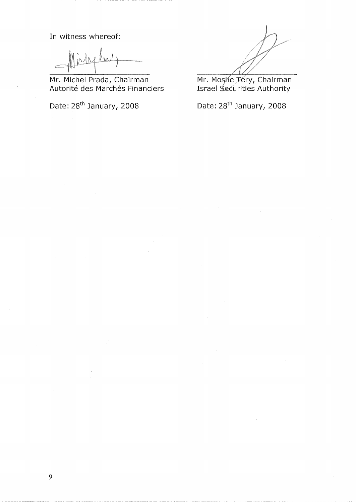In witness whereof:

 $y_{3a}$ 

Mr. Michel Prada, Chairman Autorité des Marchés Financiers

Date: 28<sup>th</sup> January, 2008 Date: 28<sup>th</sup> January, 2008

Mr. Moshe Jéry, Chairmai Israel ",.@éùritiesAuthority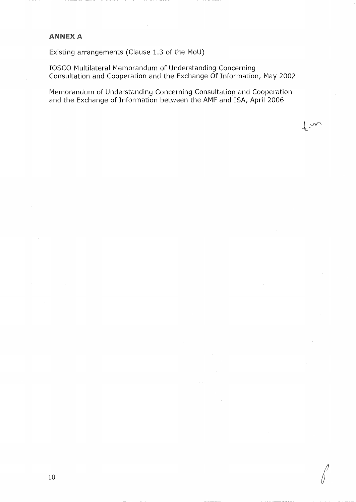## **ANNEX A**

Existing arrangements (Clause 1.3 of the MoU)

IOSCO Multilateral Memorandum of Understanding Concerning Consultation and Cooperation and the Exchange Of Information, May 2002

Memorandum of Understanding Concerning Consultation and Cooperation and the Exchange of Information between the AMF and ISA, April 2006

 $\downarrow$  m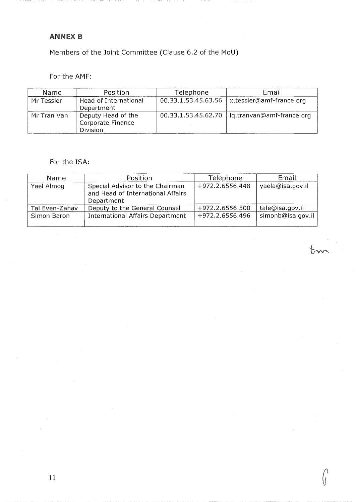## ANNEX B

Members of the Joint Committee (Clause 6.2 of the MoU)

# For the AMF:

| Name        | Position              | Telephone           | Email                                           |
|-------------|-----------------------|---------------------|-------------------------------------------------|
| Mr Tessier  | Head of International | 00.33.1.53.45.63.56 | x.tessier@amf-france.org                        |
|             | Department            |                     |                                                 |
| Mr Tran Van | Deputy Head of the    |                     | 00.33.1.53.45.62.70   lg.tranvan@amf-france.org |
|             | Corporate Finance     |                     |                                                 |
|             | <b>Division</b>       |                     |                                                 |

## For the ISA:

| Name           | Position                                                                           | Telephone       | Email             |
|----------------|------------------------------------------------------------------------------------|-----------------|-------------------|
| Yael Almog     | Special Advisor to the Chairman<br>and Head of International Affairs<br>Department | +972.2.6556.448 | yaela@isa.gov.il  |
| Tal Even-Zahav | Deputy to the General Counsel                                                      | +972.2.6556.500 | tale@isa.gov.il   |
| Simon Baron    | <b>International Affairs Department</b>                                            | +972.2.6556.496 | simonb@isa.gov.il |

tm